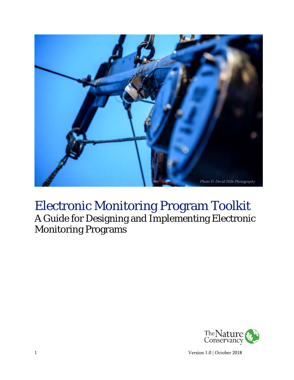

# Electronic Monitoring Program Toolkit A Guide for Designing and Implementing Electronic Monitoring Programs



1 Version 1.0 | October 2018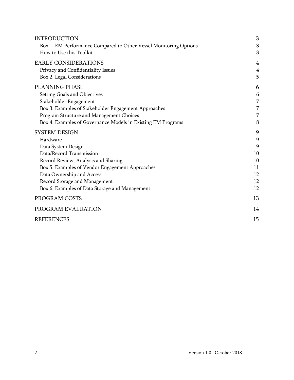<span id="page-1-23"></span><span id="page-1-22"></span><span id="page-1-21"></span><span id="page-1-20"></span><span id="page-1-19"></span><span id="page-1-18"></span><span id="page-1-17"></span><span id="page-1-16"></span><span id="page-1-15"></span><span id="page-1-14"></span><span id="page-1-13"></span><span id="page-1-12"></span><span id="page-1-11"></span><span id="page-1-10"></span><span id="page-1-9"></span><span id="page-1-8"></span><span id="page-1-7"></span><span id="page-1-6"></span><span id="page-1-5"></span><span id="page-1-4"></span><span id="page-1-3"></span><span id="page-1-2"></span><span id="page-1-1"></span><span id="page-1-0"></span>

| <b>INTRODUCTION</b>                                               | 3              |
|-------------------------------------------------------------------|----------------|
| Box 1. EM Performance Compared to Other Vessel Monitoring Options | 3              |
| How to Use this Toolkit                                           | 3              |
| <b>EARLY CONSIDERATIONS</b>                                       | $\overline{4}$ |
| Privacy and Confidentiality Issues                                | $\overline{4}$ |
| Box 2. Legal Considerations                                       | 5              |
| <b>PLANNING PHASE</b>                                             | 6              |
| Setting Goals and Objectives                                      | 6              |
| Stakeholder Engagement                                            | 7              |
| Box 3. Examples of Stakeholder Engagement Approaches              | 7              |
| Program Structure and Management Choices                          | 7              |
| Box 4. Examples of Governance Models in Existing EM Programs      | 8              |
| <b>SYSTEM DESIGN</b>                                              | 9              |
| Hardware                                                          | 9              |
| Data System Design                                                | 9              |
| Data/Record Transmission                                          | 10             |
| Record Review, Analysis and Sharing                               | 10             |
| Box 5. Examples of Vendor Engagement Approaches                   | 11             |
| Data Ownership and Access                                         | 12             |
| Record Storage and Management                                     | 12             |
| Box 6. Examples of Data Storage and Management                    | 12             |
| PROGRAM COSTS                                                     | 13             |
| PROGRAM EVALUATION                                                | 14             |
| <b>REFERENCES</b>                                                 | 15             |
|                                                                   |                |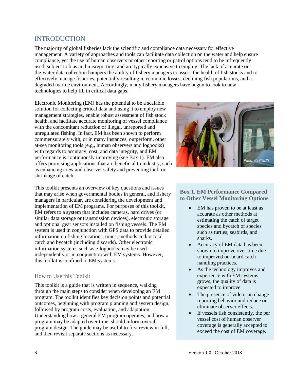# INTRODUCTION

The majority of global fisheries lack the scientific and compliance data necessary for effective management. A variety of approaches and tools can facilitate data collection on the water and help ensure compliance, yet the use of human observers or other reporting or patrol options tend to be infrequently used, subject to bias and misreporting, and are typically expensive to employ. The lack of accurate onthe-water data collection hampers the ability of fishery managers to assess the health of fish stocks and to effectively manage fisheries, potentially resulting in economic losses, declining fish populations, and a degraded marine environment. Accordingly, many fishery managers have begun to look to new technologies to help fill in critical data gaps.

Electronic Monitoring (EM) has the potential to be a scalable solution for collecting critical data and using it to employ new management strategies, enable robust assessment of fish stock health, and facilitate accurate monitoring of vessel compliance with the concomitant reduction of illegal, unreported and unregulated fishing. In fact, EM has been shown to perform commensurately with, or in many instances, outperform, other at-sea monitoring tools (e.g., human observers and logbooks) with regards to accuracy, cost, and data integrity, and EM performance is continuously improving (see Box 1). EM also offers promising applications that are beneficial to industry, such as enhancing crew and observer safety and preventing theft or shrinkage of catch.

This toolkit presents an overview of key questions and issues that may arise when governmental bodies in general, and fishery managers in particular, are considering the development and implementation of EM programs. For purposes of this toolkit, EM refers to a system that includes cameras, hard drives (or similar data storage or transmission devices), electronic storage and optional gear sensors installed on fishing vessels. The EM system is used in conjunction with GPS data to provide detailed information on fishing locations, times, methods and/or total catch and bycatch (including discards). Other electronic information systems such as e-logbooks may be used independently or in conjunction with EM systems. However, this toolkit is confined to EM systems.

### How to Use this Toolkit

This toolkit is a guide that is written in sequence, walking through the main steps to consider when developing an EM program. The toolkit identifies key decision points and potential outcomes, beginning with program planning and system design, followed by program costs, evaluation, and adaptation. Understanding how a general EM program operates, and how a program may be adapted over time, should inform overall program design. The guide may be useful to first review in full, and then revisit separate sections as necessary.



### **Box 1. EM Performance Compared to Other Vessel Monitoring Options**

- EM has proven to be at least as accurate as other methods at estimating the catch of target species and bycatch of species such as turtles, seabirds, and sharks.
- Accuracy of EM data has been shown to improve over time due to improved on-board catch handling practices.
- As the technology improves and experience with EM systems grows, the quality of data is expected to improve.
- The presence of video can change reporting behavior and reduce or eliminate observer effects.
- If vessels fish consistently, the per vessel cost of human observer coverage is generally accepted to exceed the cost of EM coverage.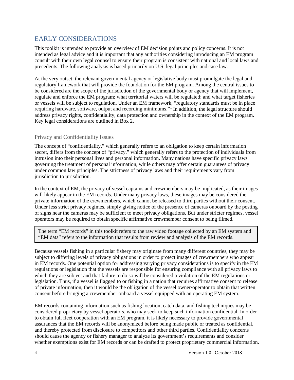# EARLY CONSIDERATIONS

This toolkit is intended to provide an overview of EM decision points and policy concerns. It is not intended as legal advice and it is important that any authorities considering introducing an EM program consult with their own legal counsel to ensure their program is consistent with national and local laws and precedents. The following analysis is based primarily on U.S. legal principles and case law.

At the very outset, the relevant governmental agency or legislative body must promulgate the legal and regulatory framework that will provide the foundation for the EM program. Among the central issues to be considered are the scope of the jurisdiction of the governmental body or agency that will implement, regulate and enforce the EM program; what territorial waters will be regulated; and what target fisheries or vessels will be subject to regulation. Under an EM framework, "regulatory standards must be in place requiring hardware, software, output and recording minimums."<sup>[1](#page-1-0)</sup> In addition, the legal structure should address privacy rights, confidentiality, data protection and ownership in the context of the EM program. Key legal considerations are outlined in Box 2.

### Privacy and Confidentiality Issues

The concept of "confidentiality," which generally refers to an obligation to keep certain information secret, differs from the concept of "privacy," which generally refers to the protection of individuals from intrusion into their personal lives and personal information. Many nations have specific privacy laws governing the treatment of personal information, while others may offer certain guarantees of privacy under common law principles. The strictness of privacy laws and their requirements vary from jurisdiction to jurisdiction.

In the context of EM, the privacy of vessel captains and crewmembers may be implicated, as their images will likely appear in the EM records. Under many privacy laws, these images may be considered the private information of the crewmembers, which cannot be released to third parties without their consent. Under less strict privacy regimes, simply giving notice of the presence of cameras onboard by the posting of signs near the cameras may be sufficient to meet privacy obligations. But under stricter regimes, vessel operators may be required to obtain specific affirmative crewmember consent to being filmed.

The term "EM records" in this toolkit refers to the raw video footage collected by an EM system and "EM data" refers to the information that results from review and analysis of the EM records.

Because vessels fishing in a particular fishery may originate from many different countries, they may be subject to differing levels of privacy obligations in order to protect images of crewmembers who appear in EM records. One potential option for addressing varying privacy considerations is to specify in the EM regulations or legislation that the vessels are responsible for ensuring compliance with all privacy laws to which they are subject and that failure to do so will be considered a violation of the EM regulations or legislation. Thus, if a vessel is flagged to or fishing in a nation that requires affirmative consent to release of private information, then it would be the obligation of the vessel owner/operator to obtain that written consent before bringing a crewmember onboard a vessel equipped with an operating EM system.

EM records containing information such as fishing location, catch data, and fishing techniques may be considered proprietary by vessel operators, who may seek to keep such information confidential. In order to obtain full fleet cooperation with an EM program, it is likely necessary to provide governmental assurances that the EM records will be anonymized before being made public or treated as confidential, and thereby protected from disclosure to competitors and other third parties. Confidentiality concerns should cause the agency or fishery manager to analyze its government's requirements and consider whether exemptions exist for EM records or can be drafted to protect proprietary commercial information.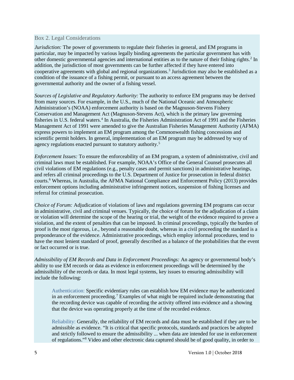#### Box 2. Legal Considerations

*Jurisdiction:* The power of governments to regulate their fisheries in general, and EM programs in particular, may be impacted by various legally binding agreements the particular government has with other domestic governmental agencies and international entities as to the nature of their fishing rights.[2](#page-1-1) In addition, the jurisdiction of most governments can be further affected if they have entered into cooperative agreements with global and regional organizations.<sup>[3](#page-1-2)</sup> Jurisdiction may also be established as a condition of the issuance of a fishing permit, or pursuant to an access agreement between the governmental authority and the owner of a fishing vessel.

*Sources of Legislative and Regulatory Authority:* The authority to enforce EM programs may be derived from many sources. For example, in the U.S., much of the National Oceanic and Atmospheric Administration's (NOAA) enforcement authority is based on the Magnuson-Stevens Fishery Conservation and Management Act (Magnuson-Stevens Act), which is the primary law governing fisheries in U.S. federal waters.<sup>[4](#page-1-3)</sup> In Australia, the Fisheries Administration Act of 1991 and the Fisheries Management Act of 1991 were amended to give the Australian Fisheries Management Authority (AFMA) express powers to implement an EM program among the Commonwealth fishing concessions and scientific permit holders. In general, implementation of an EM program may be addressed by way of agency regulations enacted pursuant to statutory authority.<sup>[5](#page-1-4)</sup>

*Enforcement Issues:* To ensure the enforceability of an EM program, a system of administrative, civil and criminal laws must be established. For example, NOAA's Office of the General Counsel prosecutes all civil violations of EM regulations (e.g., penalty cases and permit sanctions) in administrative hearings, and refers all criminal proceedings to the U.S. Department of Justice for prosecution in federal district courts.[6](#page-1-5) Whereas, in Australia, the AFMA National Compliance and Enforcement Policy (2013) provides enforcement options including administrative infringement notices, suspension of fishing licenses and referral for criminal prosecution.

*Choice of Forum:* Adjudication of violations of laws and regulations governing EM programs can occur in administrative, civil and criminal venues. Typically, the choice of forum for the adjudication of a claim or violation will determine the scope of the hearing or trial, the weight of the evidence required to prove a violation, and the extent of penalties that can be imposed. In criminal proceedings, typically the burden of proof is the most rigorous, i.e., beyond a reasonable doubt, whereas in a civil proceeding the standard is a preponderance of the evidence. Administrative proceedings, which employ informal procedures, tend to have the most lenient standard of proof, generally described as a balance of the probabilities that the event or fact occurred or is true.

*Admissibility of EM Records and Data in Enforcement Proceedings:* An agency or governmental body's ability to use EM records or data as evidence in enforcement proceedings will be determined by the admissibility of the records or data. In most legal systems, key issues to ensuring admissibility will include the following:

Authentication: Specific evidentiary rules can establish how EM evidence may be authenticated in an enforcement proceeding.<sup>[7](#page-1-6)</sup> Examples of what might be required include demonstrating that the recording device was capable of recording the activity offered into evidence and a showing that the device was operating properly at the time of the recorded evidence.

Reliability: Generally, the reliability of EM records and data must be established if they are to be admissible as evidence. "It is critical that specific protocols, standards and practices be adopted and strictly followed to ensure the admissibility ... when data are intended for use in enforcement of regulations."[8](#page-1-7) Video and other electronic data captured should be of good quality, in order to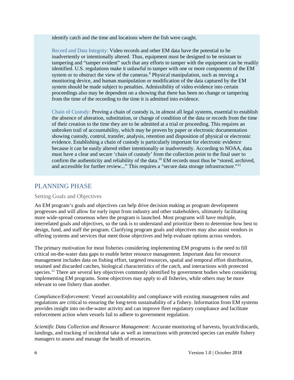identify catch and the time and locations where the fish were caught.

Record and Data Integrity: Video records and other EM data have the potential to be inadvertently or intentionally altered. Thus, equipment must be designed to be resistant to tampering and "tamper evident" such that any efforts to tamper with the equipment can be readily identified. U.S. regulations make it unlawful to tamper with one or more components of the EM system or to obstruct the view of the cameras.<sup>9</sup> Physical manipulation, such as moving a monitoring device, and human manipulation or modification of the data captured by the EM system should be made subject to penalties. Admissibility of video evidence into certain proceedings also may be dependent on a showing that there has been no change or tampering from the time of the recording to the time it is admitted into evidence.

Chain of Custody: Proving a chain of custody is, in almost all legal systems, essential to establish the absence of alteration, substitution, or change of condition of the data or records from the time of their creation to the time they are to be admitted at a trial or proceeding. This requires an unbroken trail of accountability, which may be proven by paper or electronic documentation showing custody, control, transfer, analysis, retention and disposition of physical or electronic evidence. Establishing a chain of custody is particularly important for electronic evidence because it can be easily altered either intentionally or inadvertently. According to NOAA, data must have a clear and secure 'chain of custody' from the collection point to the final user to confirm the authenticity and reliability of the data.<sup>[10](#page-1-9)</sup> EM records must thus be "stored, archived, and accessible for further review..." This requires a "secure data storage infrastructure."<sup>[11](#page-1-10)</sup>

### PLANNING PHASE

#### Setting Goals and Objectives

An EM program's goals and objectives can help drive decision making as program development progresses and will allow for early input from industry and other stakeholders, ultimately facilitating more wide-spread consensus when the program is launched. Most programs will have multiple, interrelated goals and objectives, so the task is to understand and prioritize them to determine how best to design, fund, and staff the program. Clarifying program goals and objectives may also assist vendors in offering systems and services that meet those objectives and help evaluate options across vendors.

The primary motivation for most fisheries considering implementing EM programs is the need to fill critical on-the-water data gaps to enable better resource management. Important data for resource management includes data on fishing effort, targeted resources, spatial and temporal effort distribution, retained and discarded catches, biological characteristics of the catch, and interactions with protected species.<sup>[12](#page-1-11)</sup> There are several key objectives commonly identified by government bodies when considering implementing EM programs. Some objectives may apply to all fisheries, while others may be more relevant to one fishery than another.

*Compliance/Enforcement:* Vessel accountability and compliance with existing management rules and regulations are critical to ensuring the long-term sustainability of a fishery. Information from EM systems provides insight into on-the-water activity and can improve fleet regulatory compliance and facilitate enforcement action when vessels fail to adhere to government regulation.

*Scientific Data Collection and Resource Management:* Accurate monitoring of harvests, bycatch/discards, landings, and tracking of incidental take as well as interactions with protected species can enable fishery managers to assess and manage the health of resources.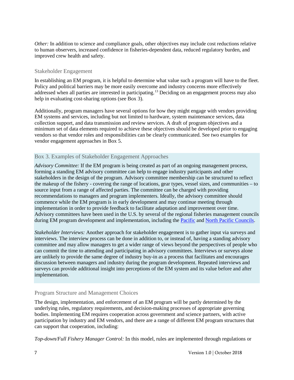*Other:* In addition to science and compliance goals, other objectives may include cost reductions relative to human observers, increased confidence in fisheries-dependent data, reduced regulatory burden, and improved crew health and safety.

#### Stakeholder Engagement

In establishing an EM program, it is helpful to determine what value such a program will have to the fleet. Policy and political barriers may be more easily overcome and industry concerns more effectively addressed when all parties are interested in participating.[13](#page-1-12) Deciding on an engagement process may also help in evaluating cost-sharing options (see Box 3).

Additionally, program managers have several options for how they might engage with vendors providing EM systems and services, including but not limited to hardware, system maintenance services, data collection support, and data transmission and review services. A draft of program objectives and a minimum set of data elements required to achieve these objectives should be developed prior to engaging vendors so that vendor roles and responsibilities can be clearly communicated. See two examples for vendor engagement approaches in Box 5.

### Box 3. Examples of Stakeholder Engagement Approaches

*Advisory Committee:* If the EM program is being created as part of an ongoing management process, forming a standing EM advisory committee can help to engage industry participants and other stakeholders in the design of the program. Advisory committee membership can be structured to reflect the makeup of the fishery - covering the range of locations, gear types, vessel sizes, and communities – to source input from a range of affected parties. The committee can be charged with providing recommendations to managers and program implementers. Ideally, the advisory committee should commence while the EM program is in early development and may continue meeting through implementation in order to provide feedback to facilitate adaptation and improvement over time. Advisory committees have been used in the U.S. by several of the regional fisheries management councils during EM program development and implementation, including the [Pacific](https://www.pcouncil.org/groundfish/trawl-catch-share-program-em/) and [North Pacific Councils.](https://protect-us.mimecast.com/s/WCwXCv2xwgIyvJ0OTQljtX?domain=fisheries.noaa.gov)

*Stakeholder Interviews:* Another approach for stakeholder engagement is to gather input via surveys and interviews. The interview process can be done in addition to, or instead of, having a standing advisory committee and may allow managers to get a wider range of views beyond the perspectives of people who can commit the time to attending and participating in advisory committees. Interviews or surveys alone are unlikely to provide the same degree of industry buy-in as a process that facilitates and encourages discussion between managers and industry during the program development. Repeated interviews and surveys can provide additional insight into perceptions of the EM system and its value before and after implementation.

### Program Structure and Management Choices

The design, implementation, and enforcement of an EM program will be partly determined by the underlying rules, regulatory requirements, and decision-making processes of appropriate governing bodies. Implementing EM requires cooperation across government and science partners, with active participation by industry and EM vendors, and there are a range of different EM program structures that can support that cooperation, including:

*Top-down/Full Fishery Manager Control:* In this model, rules are implemented through regulations or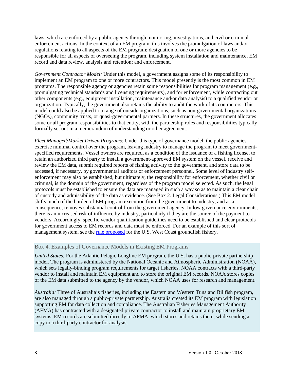laws, which are enforced by a public agency through monitoring, investigations, and civil or criminal enforcement actions. In the context of an EM program, this involves the promulgation of laws and/or regulations relating to all aspects of the EM program; designation of one or more agencies to be responsible for all aspects of overseeing the program, including system installation and maintenance, EM record and data review, analysis and retention; and enforcement.

*Government Contractor Model:* Under this model, a government assigns some of its responsibility to implement an EM program to one or more contractors. This model presently is the most common in EM programs. The responsible agency or agencies retain some responsibilities for program management (e.g., promulgating technical standards and licensing requirements), and for enforcement, while contracting out other components (e.g., equipment installation, maintenance and/or data analysis) to a qualified vendor or organization. Typically, the government also retains the ability to audit the work of its contractors. This model could also be applied to a range of outside organizations, such as non-governmental organizations (NGOs), community trusts, or quasi-governmental partners. In these structures, the government allocates some or all program responsibilities to that entity, with the partnership roles and responsibilities typically formally set out in a memorandum of understanding or other agreement.

*Fleet Managed/Market Driven Programs:* Under this type of governance model, the public agencies exercise minimal control over the program, leaving industry to manage the program to meet governmentspecified requirements. Vessel owners are required, as a condition of the issuance of a fishing license, to retain an authorized third party to install a government-approved EM system on the vessel, receive and review the EM data, submit required reports of fishing activity to the government, and store data to be accessed, if necessary, by governmental auditors or enforcement personnel. Some level of industry selfenforcement may also be established, but ultimately, the responsibility for enforcement, whether civil or criminal, is the domain of the government, regardless of the program model selected. As such, the legal protocols must be established to ensure the data are managed in such a way so as to maintain a clear chain of custody and admissibility of the data as evidence. (See Box 2. Legal Considerations.) This EM model shifts much of the burden of EM program execution from the government to industry, and as a consequence, removes substantial control from the government agency. In low governance environments, there is an increased risk of influence by industry, particularly if they are the source of the payment to vendors. Accordingly, specific vendor qualification guidelines need to be established and clear protocols for government access to EM records and data must be enforced. For an example of this sort of management system, see the <u>rule proposed</u> for the U.S. West Coast groundfish fishery.

### Box 4. Examples of Governance Models in Existing EM Programs

*United States:* For the Atlantic Pelagic Longline EM program, the U.S. has a public-private partnership model. The program is administered by the National Oceanic and Atmospheric Administration (NOAA), which sets legally-binding program requirements for target fisheries. NOAA contracts with a third-party vendor to install and maintain EM equipment and to store the original EM records. NOAA stores copies of the EM data submitted to the agency by the vendor, which NOAA uses for research and management.

*Australia:* Three of Australia's fisheries, including the Eastern and Western Tuna and Billfish program, are also managed through a public-private partnership. Australia created its EM program with legislation supporting EM for data collection and compliance. The Australian Fisheries Management Authority (AFMA) has contracted with a designated private contractor to install and maintain proprietary EM systems. EM records are submitted directly to AFMA, which stores and retains them, while sending a copy to a third-party contractor for analysis.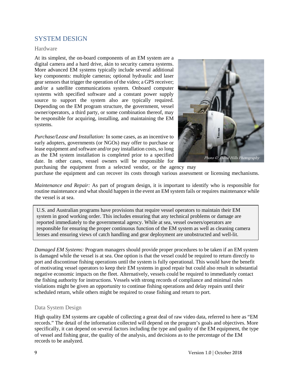# SYSTEM DESIGN

#### Hardware

At its simplest, the on-board components of an EM system are a digital camera and a hard drive, akin to security camera systems. More advanced EM systems typically include several additional key components: multiple cameras; optional hydraulic and laser gear sensors that trigger the operation of the video; a GPS receiver; and/or a satellite communications system. Onboard computer systems with specified software and a constant power supply source to support the system also are typically required. Depending on the EM program structure, the government, vessel owner/operators, a third party, or some combination thereof, may be responsible for acquiring, installing, and maintaining the EM systems.

*Purchase/Lease and Installation:* In some cases, as an incentive to early adopters, governments (or NGOs) may offer to purchase or lease equipment and software and/or pay installation costs, so long as the EM system installation is completed prior to a specified date. In other cases, vessel owners will be responsible for purchasing the equipment from a selected vendor, or the agency may



purchase the equipment and can recover its costs through various assessment or licensing mechanisms.

*Maintenance and Repair:* As part of program design, it is important to identify who is responsible for routine maintenance and what should happen in the event an EM system fails or requires maintenance while the vessel is at sea.

U.S. and Australian programs have provisions that require vessel operators to maintain their EM system in good working order. This includes ensuring that any technical problems or damage are reported immediately to the governmental agency. While at sea, vessel owners/operators are responsible for ensuring the proper continuous function of the EM system as well as cleaning camera lenses and ensuring views of catch handling and gear deployment are unobstructed and well-lit.

*Damaged EM Systems:* Program managers should provide proper procedures to be taken if an EM system is damaged while the vessel is at sea. One option is that the vessel could be required to return directly to port and discontinue fishing operations until the system is fully operational. This would have the benefit of motivating vessel operators to keep their EM systems in good repair but could also result in substantial negative economic impacts on the fleet. Alternatively, vessels could be required to immediately contact the fishing authority for instructions. Vessels with strong records of compliance and minimal rules violations might be given an opportunity to continue fishing operations and delay repairs until their scheduled return, while others might be required to cease fishing and return to port.

### Data System Design

High quality EM systems are capable of collecting a great deal of raw video data, referred to here as "EM records." The detail of the information collected will depend on the program's goals and objectives. More specifically, it can depend on several factors including the type and quality of the EM equipment, the type of vessel and fishing gear, the quality of the analysis, and decisions as to the percentage of the EM records to be analyzed.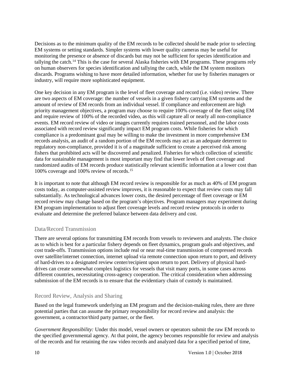Decisions as to the minimum quality of the EM records to be collected should be made prior to selecting EM systems or setting standards. Simpler systems with lower quality cameras may be useful for monitoring the presence or absence of discards but may not be sufficient for species identification and tallying the catch.[14](#page-1-13) This is the case for several Alaska fisheries with EM programs. These programs rely on human observers for species identification and tallying the catch, while the EM system monitors discards. Programs wishing to have more detailed information, whether for use by fisheries managers or industry, will require more sophisticated equipment.

One key decision in any EM program is the level of fleet coverage and record (i.e. video) review. There are two aspects of EM coverage: the number of vessels in a given fishery carrying EM systems and the amount of review of EM records from an individual vessel. If compliance and enforcement are high priority management objectives, a program may choose to require 100% coverage of the fleet using EM and require review of 100% of the recorded video, as this will capture all or nearly all non-compliance events. EM record review of video or images currently requires trained personnel, and the labor costs associated with record review significantly impact EM program costs. While fisheries for which compliance is a predominant goal may be willing to make the investment in more comprehensive EM records analysis, an audit of a random portion of the EM records may act as an adequate deterrent to regulatory non-compliance, provided it is of a magnitude sufficient to create a perceived risk among fishers that prohibited acts will be discovered and penalized. Fisheries for which collection of scientific data for sustainable management is most important may find that lower levels of fleet coverage and randomized audits of EM records produce statistically relevant scientific information at a lower cost than 100% coverage and 100% review of records. [15](#page-1-14)

It is important to note that although EM record review is responsible for as much as 40% of EM program costs today, as computer-assisted review improves, it is reasonable to expect that review costs may fall substantially. As technological advances lower costs, the desired percentage of fleet coverage or EM record review may change based on the program's objectives. Program managers may experiment during EM program implementation to adjust fleet coverage levels and record review protocols in order to evaluate and determine the preferred balance between data delivery and cost.

#### Data/Record Transmission

There are several options for transmitting EM records from vessels to reviewers and analysts. The choice as to which is best for a particular fishery depends on fleet dynamics, program goals and objectives, and cost trade-offs. Transmission options include real or near real-time transmission of compressed records over satellite/internet connection, internet upload via remote connection upon return to port, and delivery of hard-drives to a designated review center/recipient upon return to port. Delivery of physical harddrives can create somewhat complex logistics for vessels that visit many ports, in some cases across different countries, necessitating cross-agency cooperation. The critical consideration when addressing submission of the EM records is to ensure that the evidentiary chain of custody is maintained.

### Record Review, Analysis and Sharing

Based on the legal framework underlying an EM program and the decision-making rules, there are three potential parties that can assume the primary responsibility for record review and analysis: the government, a contractor/third party partner, or the fleet.

*Government Responsibility:* Under this model, vessel owners or operators submit the raw EM records to the specified governmental agency. At that point, the agency becomes responsible for review and analysis of the records and for retaining the raw video records and analyzed data for a specified period of time,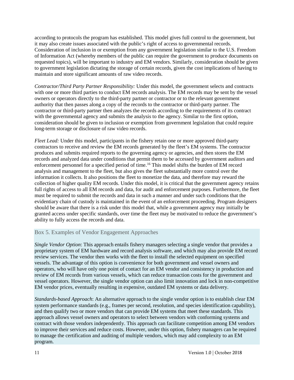according to protocols the program has established. This model gives full control to the government, but it may also create issues associated with the public's right of access to governmental records. Consideration of inclusion in or exemption from any government legislation similar to the U.S. Freedom of Information Act (whereby members of the public can require the government to produce documents on requested topics), will be important to industry and EM vendors. Similarly, consideration should be given to government legislation dictating the storage of certain records, given the cost implications of having to maintain and store significant amounts of raw video records.

*Contractor/Third Party Partner Responsibility:* Under this model, the government selects and contracts with one or more third parties to conduct EM records analysis. The EM records may be sent by the vessel owners or operators directly to the third-party partner or contractor or to the relevant government authority that then passes along a copy of the records to the contractor or third-party partner. The contractor or third-party partner then analyzes the records according to the requirements of its contract with the governmental agency and submits the analysis to the agency. Similar to the first option, consideration should be given to inclusion or exemption from government legislation that could require long-term storage or disclosure of raw video records.

*Fleet Lead:* Under this model, participants in the fishery retain one or more approved third-party contractors to receive and review the EM records generated by the fleet's EM systems. The contractor produces and submits required reports to the governing agency or agencies, and then stores the EM records and analyzed data under conditions that permit them to be accessed by government auditors and enforcement personnel for a specified period of time.<sup>[16](#page-1-15)</sup> This model shifts the burden of EM record analysis and management to the fleet, but also gives the fleet substantially more control over the information it collects. It also positions the fleet to monetize the data, and therefore may reward the collection of higher quality EM records. Under this model, it is critical that the government agency retains full rights of access to all EM records and data, for audit and enforcement purposes. Furthermore, the fleet must be required to submit the records and data in such a manner and under such conditions that the evidentiary chain of custody is maintained in the event of an enforcement proceeding. Program designers should be aware that there is a risk under this model that, while a government agency may initially be granted access under specific standards, over time the fleet may be motivated to reduce the government's ability to fully access the records and data.

### Box 5. Examples of Vendor Engagement Approaches

*Single Vendor Option*: This approach entails fishery managers selecting a single vendor that provides a proprietary system of EM hardware and record analysis software, and which may also provide EM record review services. The vendor then works with the fleet to install the selected equipment on specified vessels. The advantage of this option is convenience for both government and vessel owners and operators, who will have only one point of contact for an EM vendor and consistency in production and review of EM records from various vessels, which can reduce transaction costs for the government and vessel operators. However, the single vendor option can also limit innovation and lock in non-competitive EM vendor prices, eventually resulting in expensive, outdated EM systems or data delivery.

*Standards-based Approach*: An alternative approach to the single vendor option is to establish clear EM system performance standards (e.g., frames per second, resolution, and species identification capability), and then qualify two or more vendors that can provide EM systems that meet these standards. This approach allows vessel owners and operators to select between vendors with conforming systems and contract with those vendors independently. This approach can facilitate competition among EM vendors to improve their services and reduce costs. However, under this option, fishery managers can be required to manage the certification and auditing of multiple vendors, which may add complexity to an EM program.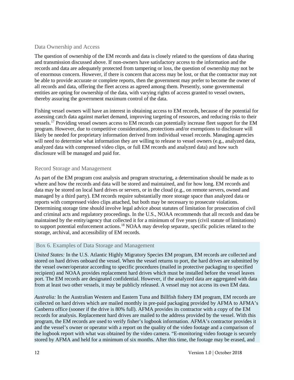#### Data Ownership and Access

The question of ownership of the EM records and data is closely related to the questions of data sharing and transmission discussed above. If non-owners have satisfactory access to the information and the records and data are adequately protected from tampering or loss, the question of ownership may not be of enormous concern. However, if there is concern that access may be lost, or that the contractor may not be able to provide accurate or complete reports, then the government may prefer to become the owner of all records and data, offering the fleet access as agreed among them. Presently, some governmental entities are opting for ownership of the data, with varying rights of access granted to vessel owners, thereby assuring the government maximum control of the data.

Fishing vessel owners will have an interest in obtaining access to EM records, because of the potential for assessing catch data against market demand, improving targeting of resources, and reducing risks to their vessels.<sup>17</sup> Providing vessel owners access to EM records can potentially increase fleet support for the EM program. However, due to competitive considerations, protections and/or exemptions to disclosure will likely be needed for proprietary information derived from individual vessel records. Managing agencies will need to determine what information they are willing to release to vessel owners (e.g., analyzed data, analyzed data with compressed video clips, or full EM records and analyzed data) and how such disclosure will be managed and paid for.

#### Record Storage and Management

As part of the EM program cost analysis and program structuring, a determination should be made as to where and how the records and data will be stored and maintained, and for how long. EM records and data may be stored on local hard drives or servers, or in the cloud (e.g., on remote servers, owned and managed by a third party). EM records require substantially more storage space than analyzed data or reports with compressed video clips attached, but both may be necessary to prosecute violations. Determining storage time should involve legal advice about statutes of limitation for prosecution of civil and criminal acts and regulatory proceedings. In the U.S., NOAA recommends that all records and data be maintained by the entity/agency that collected it for a minimum of five years (civil statute of limitations) to support potential enforcement actions[.18](#page-1-17) NOAA may develop separate, specific policies related to the storage, archival, and accessibility of EM records.

### Box 6. Examples of Data Storage and Management

*United States:* In the U.S. Atlantic Highly Migratory Species EM program, EM records are collected and stored on hard drives onboard the vessel. When the vessel returns to port, the hard drives are submitted by the vessel owner/operator according to specific procedures (mailed in protective packaging to specified recipient) and NOAA provides replacement hard drives which must be installed before the vessel leaves port. The EM records are designated confidential. However, if the analyzed data are aggregated with data from at least two other vessels, it may be publicly released. A vessel may not access its own EM data.

*Australia:* In the Australian Western and Eastern Tuna and Billfish fishery EM program, EM records are collected on hard drives which are mailed monthly in pre-paid packaging provided by AFMA to AFMA's Canberra office (sooner if the drive is 80% full). AFMA provides its contractor with a copy of the EM records for analysis. Replacement hard drives are mailed to the address provided by the vessel. With this program, the EM records are used to verify fisher's logbook information. AFMA's contractor provides it and the vessel's owner or operator with a report on the quality of the video footage and a comparison of the logbook report with what was obtained by the video camera. "E-monitoring video footage is securely stored by AFMA and held for a minimum of six months. After this time, the footage may be erased, and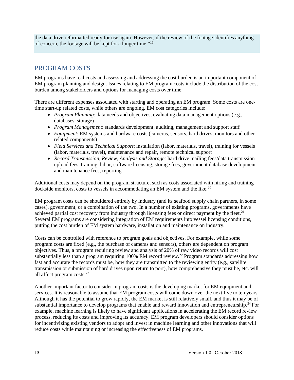the data drive reformatted ready for use again. However, if the review of the footage identifies anything of concern, the footage will be kept for a longer time."[19](#page-1-18)

### PROGRAM COSTS

EM programs have real costs and assessing and addressing the cost burden is an important component of EM program planning and design. Issues relating to EM program costs include the distribution of the cost burden among stakeholders and options for managing costs over time.

There are different expenses associated with starting and operating an EM program. Some costs are onetime start-up related costs, while others are ongoing. EM cost categories include:

- *Program Planning*: data needs and objectives, evaluating data management options (e.g., databases, storage)
- *Program Management*: standards development, auditing, management and support staff
- *Equipment*: EM systems and hardware costs (cameras, sensors, hard drives, monitors and other related components)
- *Field Services and Technical Support*: installation (labor, materials, travel), training for vessels (labor, materials, travel), maintenance and repair, remote technical support
- *Record Transmission, Review, Analysis and Storage:* hard drive mailing fees/data transmission upload fees, training, labor, software licensing, storage fees, government database development and maintenance fees, reporting

Additional costs may depend on the program structure, such as costs associated with hiring and training dockside monitors, costs to vessels in accommodating an EM system and the like.<sup>[20](#page-1-19)</sup>

EM program costs can be shouldered entirely by industry (and its seafood supply chain partners, in some cases), government, or a combination of the two. In a number of existing programs, governments have achieved partial cost recovery from industry through licensing fees or direct payment by the fleet.<sup>[21](#page-1-20)</sup> Several EM programs are considering integration of EM requirements into vessel licensing conditions, putting the cost burden of EM system hardware, installation and maintenance on industry.

Costs can be controlled with reference to program goals and objectives. For example, while some program costs are fixed (e.g., the purchase of cameras and sensors), others are dependent on program objectives. Thus, a program requiring review and analysis of 20% of raw video records will cost substantially less than a program requiring 100% EM record review.<sup>[22](#page-1-21)</sup> Program standards addressing how fast and accurate the records must be, how they are transmitted to the reviewing entity (e.g., satellite transmission or submission of hard drives upon return to port), how comprehensive they must be, etc. will all affect program costs.[23](#page-1-22)

Another important factor to consider in program costs is the developing market for EM equipment and services. It is reasonable to assume that EM program costs will come down over the next five to ten years. Although it has the potential to grow rapidly, the EM market is still relatively small, and thus it may be of substantial importance to develop programs that enable and reward innovation and entrepreneurship.<sup>24</sup> For example, machine learning is likely to have significant applications in accelerating the EM record review process, reducing its costs and improving its accuracy. EM program developers should consider options for incentivizing existing vendors to adopt and invest in machine learning and other innovations that will reduce costs while maintaining or increasing the effectiveness of EM programs.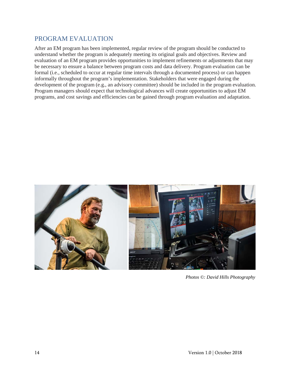# PROGRAM EVALUATION

After an EM program has been implemented, regular review of the program should be conducted to understand whether the program is adequately meeting its original goals and objectives. Review and evaluation of an EM program provides opportunities to implement refinements or adjustments that may be necessary to ensure a balance between program costs and data delivery. Program evaluation can be formal (i.e., scheduled to occur at regular time intervals through a documented process) or can happen informally throughout the program's implementation. Stakeholders that were engaged during the development of the program (e.g., an advisory committee) should be included in the program evaluation. Program managers should expect that technological advances will create opportunities to adjust EM programs, and cost savings and efficiencies can be gained through program evaluation and adaptation.



*Photos ©: David Hills Photography*